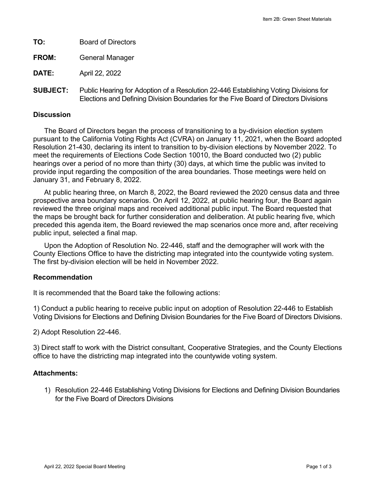**TO:** Board of Directors **FROM:** General Manager

**DATE:** April 22, 2022

**SUBJECT:** Public Hearing for Adoption of a Resolution 22-446 Establishing Voting Divisions for Elections and Defining Division Boundaries for the Five Board of Directors Divisions

#### **Discussion**

The Board of Directors began the process of transitioning to a by-division election system pursuant to the California Voting Rights Act (CVRA) on January 11, 2021, when the Board adopted Resolution 21-430, declaring its intent to transition to by-division elections by November 2022. To meet the requirements of Elections Code Section 10010, the Board conducted two (2) public hearings over a period of no more than thirty (30) days, at which time the public was invited to provide input regarding the composition of the area boundaries. Those meetings were held on January 31, and February 8, 2022.

At public hearing three, on March 8, 2022, the Board reviewed the 2020 census data and three prospective area boundary scenarios. On April 12, 2022, at public hearing four, the Board again reviewed the three original maps and received additional public input. The Board requested that the maps be brought back for further consideration and deliberation. At public hearing five, which preceded this agenda item, the Board reviewed the map scenarios once more and, after receiving public input, selected a final map.

Upon the Adoption of Resolution No. 22-446, staff and the demographer will work with the County Elections Office to have the districting map integrated into the countywide voting system. The first by-division election will be held in November 2022.

### **Recommendation**

It is recommended that the Board take the following actions:

1) Conduct a public hearing to receive public input on adoption of Resolution 22-446 to Establish Voting Divisions for Elections and Defining Division Boundaries for the Five Board of Directors Divisions.

2) Adopt Resolution 22-446.

3) Direct staff to work with the District consultant, Cooperative Strategies, and the County Elections office to have the districting map integrated into the countywide voting system.

### **Attachments:**

1) Resolution 22-446 Establishing Voting Divisions for Elections and Defining Division Boundaries for the Five Board of Directors Divisions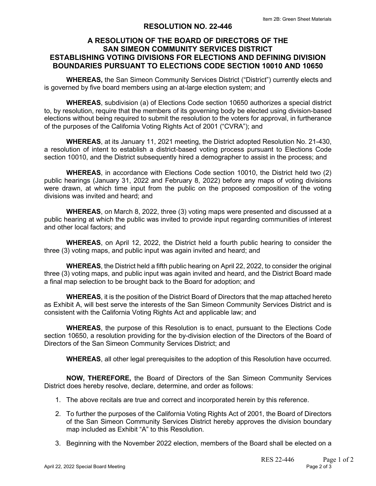## **RESOLUTION NO. 22-446**

# **A RESOLUTION OF THE BOARD OF DIRECTORS OF THE SAN SIMEON COMMUNITY SERVICES DISTRICT ESTABLISHING VOTING DIVISIONS FOR ELECTIONS AND DEFINING DIVISION BOUNDARIES PURSUANT TO ELECTIONS CODE SECTION 10010 AND 10650**

**WHEREAS,** the San Simeon Community Services District ("District") currently elects and is governed by five board members using an at-large election system; and

**WHEREAS**, subdivision (a) of Elections Code section 10650 authorizes a special district to, by resolution, require that the members of its governing body be elected using division-based elections without being required to submit the resolution to the voters for approval, in furtherance of the purposes of the California Voting Rights Act of 2001 ("CVRA"); and

**WHEREAS**, at its January 11, 2021 meeting, the District adopted Resolution No. 21-430, a resolution of intent to establish a district-based voting process pursuant to Elections Code section 10010, and the District subsequently hired a demographer to assist in the process; and

**WHEREAS**, in accordance with Elections Code section 10010, the District held two (2) public hearings (January 31, 2022 and February 8, 2022) before any maps of voting divisions were drawn, at which time input from the public on the proposed composition of the voting divisions was invited and heard; and

**WHEREAS**, on March 8, 2022, three (3) voting maps were presented and discussed at a public hearing at which the public was invited to provide input regarding communities of interest and other local factors; and

**WHEREAS**, on April 12, 2022, the District held a fourth public hearing to consider the three (3) voting maps, and public input was again invited and heard; and

**WHEREAS**, the District held a fifth public hearing on April 22, 2022, to consider the original three (3) voting maps, and public input was again invited and heard, and the District Board made a final map selection to be brought back to the Board for adoption; and

**WHEREAS**, it is the position of the District Board of Directors that the map attached hereto as Exhibit A, will best serve the interests of the San Simeon Community Services District and is consistent with the California Voting Rights Act and applicable law; and

**WHEREAS**, the purpose of this Resolution is to enact, pursuant to the Elections Code section 10650, a resolution providing for the by-division election of the Directors of the Board of Directors of the San Simeon Community Services District; and

**WHEREAS**, all other legal prerequisites to the adoption of this Resolution have occurred.

**NOW, THEREFORE,** the Board of Directors of the San Simeon Community Services District does hereby resolve, declare, determine, and order as follows:

- 1. The above recitals are true and correct and incorporated herein by this reference.
- 2. To further the purposes of the California Voting Rights Act of 2001, the Board of Directors of the San Simeon Community Services District hereby approves the division boundary map included as Exhibit "A" to this Resolution.
- 3. Beginning with the November 2022 election, members of the Board shall be elected on a